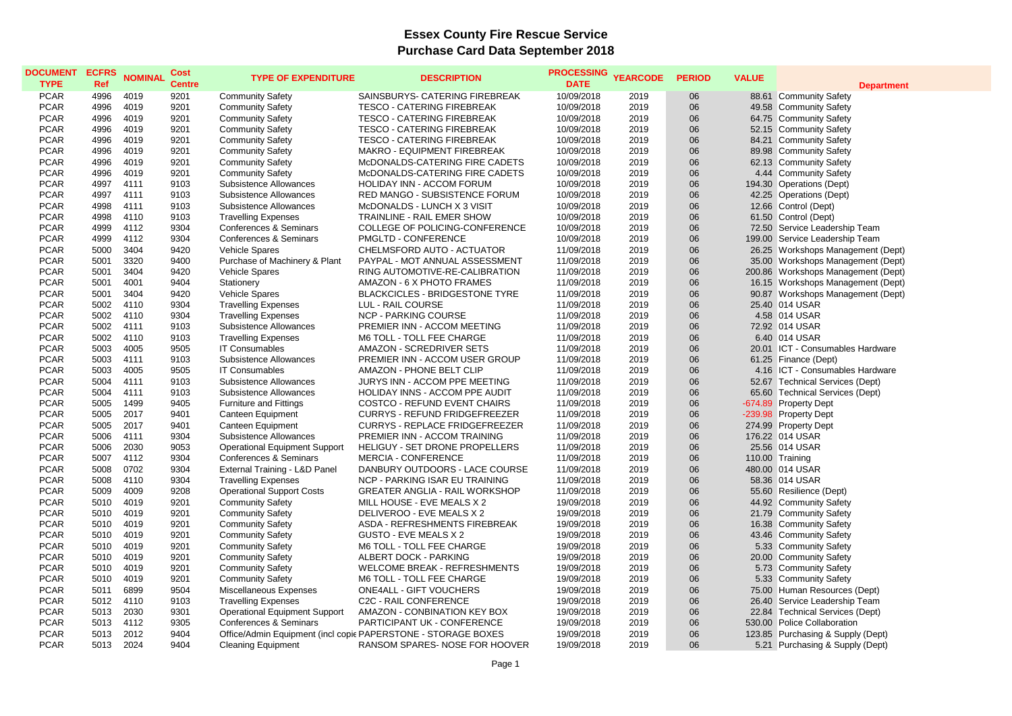## **Essex County Fire Rescue Service Purchase Card Data September 2018**

| <b>DOCUMENT</b><br><b>TYPE</b> | <b>ECFRS</b><br>Ref | <b>NOMINAL</b> | Cost<br><b>Centre</b> | <b>TYPE OF EXPENDITURE</b>           | <b>DESCRIPTION</b>                                            | <b>PROCESSING</b><br><b>DATE</b> | <b>YEARCODE</b> | <b>PERIOD</b> | <b>VALUE</b> | <b>Department</b>                  |
|--------------------------------|---------------------|----------------|-----------------------|--------------------------------------|---------------------------------------------------------------|----------------------------------|-----------------|---------------|--------------|------------------------------------|
| <b>PCAR</b>                    | 4996                | 4019           | 9201                  | <b>Community Safety</b>              | SAINSBURYS- CATERING FIREBREAK                                | 10/09/2018                       | 2019            | 06            |              | 88.61 Community Safety             |
| <b>PCAR</b>                    | 4996                | 4019           | 9201                  | <b>Community Safety</b>              | <b>TESCO - CATERING FIREBREAK</b>                             | 10/09/2018                       | 2019            | 06            |              | 49.58 Community Safety             |
| <b>PCAR</b>                    | 4996                | 4019           | 9201                  | <b>Community Safety</b>              | <b>TESCO - CATERING FIREBREAK</b>                             | 10/09/2018                       | 2019            | 06            |              | 64.75 Community Safety             |
| <b>PCAR</b>                    | 4996                | 4019           | 9201                  | <b>Community Safety</b>              | <b>TESCO - CATERING FIREBREAK</b>                             | 10/09/2018                       | 2019            | 06            |              | 52.15 Community Safety             |
| <b>PCAR</b>                    | 4996                | 4019           | 9201                  | <b>Community Safety</b>              | <b>TESCO - CATERING FIREBREAK</b>                             | 10/09/2018                       | 2019            | 06            |              | 84.21 Community Safety             |
| <b>PCAR</b>                    | 4996                | 4019           | 9201                  | <b>Community Safety</b>              | MAKRO - EQUIPMENT FIREBREAK                                   | 10/09/2018                       | 2019            | 06            |              | 89.98 Community Safety             |
| <b>PCAR</b>                    | 4996                | 4019           | 9201                  | <b>Community Safety</b>              | McDONALDS-CATERING FIRE CADETS                                | 10/09/2018                       | 2019            | 06            |              | 62.13 Community Safety             |
| <b>PCAR</b>                    | 4996                | 4019           | 9201                  | <b>Community Safety</b>              | McDONALDS-CATERING FIRE CADETS                                | 10/09/2018                       | 2019            | 06            |              | 4.44 Community Safety              |
| <b>PCAR</b>                    | 4997                | 4111           | 9103                  | <b>Subsistence Allowances</b>        | HOLIDAY INN - ACCOM FORUM                                     | 10/09/2018                       | 2019            | 06            |              | 194.30 Operations (Dept)           |
| <b>PCAR</b>                    | 4997                | 4111           | 9103                  | <b>Subsistence Allowances</b>        | RED MANGO - SUBSISTENCE FORUM                                 | 10/09/2018                       | 2019            | 06            |              | 42.25 Operations (Dept)            |
| <b>PCAR</b>                    | 4998                | 4111           | 9103                  | <b>Subsistence Allowances</b>        | McDONALDS - LUNCH X 3 VISIT                                   | 10/09/2018                       | 2019            | 06            |              | 12.66 Control (Dept)               |
| <b>PCAR</b>                    | 4998                | 4110           | 9103                  | <b>Travelling Expenses</b>           | <b>TRAINLINE - RAIL EMER SHOW</b>                             | 10/09/2018                       | 2019            | 06            |              | 61.50 Control (Dept)               |
| <b>PCAR</b>                    | 4999                | 4112           | 9304                  | Conferences & Seminars               | COLLEGE OF POLICING-CONFERENCE                                | 10/09/2018                       | 2019            | 06            |              | 72.50 Service Leadership Team      |
| <b>PCAR</b>                    | 4999                | 4112           | 9304                  | Conferences & Seminars               | PMGLTD - CONFERENCE                                           | 10/09/2018                       | 2019            | 06            |              | 199.00 Service Leadership Team     |
| <b>PCAR</b>                    | 5000                | 3404           | 9420                  | Vehicle Spares                       | CHELMSFORD AUTO - ACTUATOR                                    | 11/09/2018                       | 2019            | 06            |              | 26.25 Workshops Management (Dept)  |
| <b>PCAR</b>                    | 5001                | 3320           | 9400                  | Purchase of Machinery & Plant        | PAYPAL - MOT ANNUAL ASSESSMENT                                | 11/09/2018                       | 2019            | 06            |              | 35.00 Workshops Management (Dept)  |
| <b>PCAR</b>                    | 5001                | 3404           | 9420                  | Vehicle Spares                       | RING AUTOMOTIVE-RE-CALIBRATION                                | 11/09/2018                       | 2019            | 06            |              | 200.86 Workshops Management (Dept) |
| <b>PCAR</b>                    | 5001                | 4001           | 9404                  | Stationery                           | AMAZON - 6 X PHOTO FRAMES                                     | 11/09/2018                       | 2019            | 06            |              | 16.15 Workshops Management (Dept)  |
| <b>PCAR</b>                    | 5001                | 3404           | 9420                  | Vehicle Spares                       | <b>BLACKCICLES - BRIDGESTONE TYRE</b>                         | 11/09/2018                       | 2019            | 06            |              | 90.87 Workshops Management (Dept)  |
| <b>PCAR</b>                    | 5002                | 4110           | 9304                  | <b>Travelling Expenses</b>           | LUL - RAIL COURSE                                             | 11/09/2018                       | 2019            | 06            |              | 25.40 014 USAR                     |
| <b>PCAR</b>                    | 5002                | 4110           | 9304                  | <b>Travelling Expenses</b>           | <b>NCP - PARKING COURSE</b>                                   | 11/09/2018                       | 2019            | 06            |              | 4.58 014 USAR                      |
| <b>PCAR</b>                    | 5002                | 4111           | 9103                  | Subsistence Allowances               | PREMIER INN - ACCOM MEETING                                   | 11/09/2018                       | 2019            | 06            |              | 72.92 014 USAR                     |
| <b>PCAR</b>                    | 5002                | 4110           | 9103                  | <b>Travelling Expenses</b>           | M6 TOLL - TOLL FEE CHARGE                                     | 11/09/2018                       | 2019            | 06            |              | 6.40 014 USAR                      |
| <b>PCAR</b>                    | 5003                | 4005           | 9505                  | <b>IT Consumables</b>                | AMAZON - SCREDRIVER SETS                                      | 11/09/2018                       | 2019            | 06            |              | 20.01 ICT - Consumables Hardware   |
| <b>PCAR</b>                    | 5003                | 4111           | 9103                  | <b>Subsistence Allowances</b>        | PREMIER INN - ACCOM USER GROUP                                | 11/09/2018                       | 2019            | 06            |              | 61.25 Finance (Dept)               |
| <b>PCAR</b>                    | 5003                | 4005           | 9505                  | <b>IT Consumables</b>                | AMAZON - PHONE BELT CLIP                                      | 11/09/2018                       | 2019            | 06            |              | 4.16 ICT - Consumables Hardware    |
| <b>PCAR</b>                    | 5004                | 4111           | 9103                  | <b>Subsistence Allowances</b>        | JURYS INN - ACCOM PPE MEETING                                 | 11/09/2018                       | 2019            | 06            |              | 52.67 Technical Services (Dept)    |
| <b>PCAR</b>                    | 5004                | 4111           | 9103                  | Subsistence Allowances               | HOLIDAY INNS - ACCOM PPE AUDIT                                | 11/09/2018                       | 2019            | 06            |              | 65.60 Technical Services (Dept)    |
| <b>PCAR</b>                    | 5005                | 1499           | 9405                  | <b>Furniture and Fittings</b>        | <b>COSTCO - REFUND EVENT CHAIRS</b>                           | 11/09/2018                       | 2019            | 06            |              | -674.89 Property Dept              |
| <b>PCAR</b>                    | 5005                | 2017           | 9401                  | Canteen Equipment                    | <b>CURRYS - REFUND FRIDGEFREEZER</b>                          | 11/09/2018                       | 2019            | 06            |              | -239.98 Property Dept              |
| <b>PCAR</b>                    | 5005                | 2017           | 9401                  | Canteen Equipment                    | CURRYS - REPLACE FRIDGEFREEZER                                | 11/09/2018                       | 2019            | 06            |              | 274.99 Property Dept               |
| <b>PCAR</b>                    | 5006                | 4111           | 9304                  | Subsistence Allowances               | PREMIER INN - ACCOM TRAINING                                  | 11/09/2018                       | 2019            | 06            |              | 176.22 014 USAR                    |
| <b>PCAR</b>                    | 5006                | 2030           | 9053                  | <b>Operational Equipment Support</b> | HELIGUY - SET DRONE PROPELLERS                                | 11/09/2018                       | 2019            | 06            |              | 25.56 014 USAR                     |
| <b>PCAR</b>                    | 5007                | 4112           | 9304                  | Conferences & Seminars               | <b>MERCIA - CONFERENCE</b>                                    | 11/09/2018                       | 2019            | 06            |              | 110.00 Training                    |
| <b>PCAR</b>                    | 5008                | 0702           | 9304                  | External Training - L&D Panel        | DANBURY OUTDOORS - LACE COURSE                                | 11/09/2018                       | 2019            | 06            |              | 480.00 014 USAR                    |
| <b>PCAR</b>                    | 5008                | 4110           | 9304                  | <b>Travelling Expenses</b>           | <b>NCP - PARKING ISAR EU TRAINING</b>                         | 11/09/2018                       | 2019            | 06            |              | 58.36 014 USAR                     |
| <b>PCAR</b>                    | 5009                | 4009           | 9208                  | <b>Operational Support Costs</b>     | <b>GREATER ANGLIA - RAIL WORKSHOP</b>                         | 11/09/2018                       | 2019            | 06            |              | 55.60 Resilience (Dept)            |
| <b>PCAR</b>                    | 5010                | 4019           | 9201                  | <b>Community Safety</b>              | MILL HOUSE - EVE MEALS X 2                                    | 19/09/2018                       | 2019            | 06            |              | 44.92 Community Safety             |
| <b>PCAR</b>                    | 5010                | 4019           | 9201                  | <b>Community Safety</b>              | DELIVEROO - EVE MEALS X 2                                     | 19/09/2018                       | 2019            | 06            |              | 21.79 Community Safety             |
| <b>PCAR</b>                    | 5010                | 4019           | 9201                  | <b>Community Safety</b>              | ASDA - REFRESHMENTS FIREBREAK                                 | 19/09/2018                       | 2019            | 06            |              | 16.38 Community Safety             |
| <b>PCAR</b>                    | 5010                | 4019           | 9201                  | <b>Community Safety</b>              | GUSTO - EVE MEALS X 2                                         | 19/09/2018                       | 2019            | 06            |              | 43.46 Community Safety             |
| <b>PCAR</b>                    | 5010                | 4019           | 9201                  | <b>Community Safety</b>              | M6 TOLL - TOLL FEE CHARGE                                     | 19/09/2018                       | 2019            | 06            |              | 5.33 Community Safety              |
| <b>PCAR</b>                    | 5010                | 4019           | 9201                  | <b>Community Safety</b>              | ALBERT DOCK - PARKING                                         | 19/09/2018                       | 2019            | 06            |              | 20.00 Community Safety             |
| <b>PCAR</b>                    | 5010                | 4019           | 9201                  | <b>Community Safety</b>              | WELCOME BREAK - REFRESHMENTS                                  | 19/09/2018                       | 2019            | 06            |              | 5.73 Community Safety              |
| <b>PCAR</b>                    | 5010                | 4019           | 9201                  | <b>Community Safety</b>              | M6 TOLL - TOLL FEE CHARGE                                     | 19/09/2018                       | 2019            | 06            |              | 5.33 Community Safety              |
| <b>PCAR</b>                    | 5011                | 6899           | 9504                  | Miscellaneous Expenses               | ONE4ALL - GIFT VOUCHERS                                       | 19/09/2018                       | 2019            | 06            |              | 75.00 Human Resources (Dept)       |
| <b>PCAR</b>                    | 5012                | 4110           | 9103                  | <b>Travelling Expenses</b>           | <b>C2C - RAIL CONFERENCE</b>                                  | 19/09/2018                       | 2019            | 06            |              | 26.40 Service Leadership Team      |
| <b>PCAR</b>                    | 5013                | 2030           | 9301                  | <b>Operational Equipment Support</b> | AMAZON - CONBINATION KEY BOX                                  | 19/09/2018                       | 2019            | 06            |              | 22.84 Technical Services (Dept)    |
| <b>PCAR</b>                    | 5013                | 4112           | 9305                  | Conferences & Seminars               | PARTICIPANT UK - CONFERENCE                                   | 19/09/2018                       | 2019            | 06            |              | 530.00 Police Collaboration        |
| <b>PCAR</b>                    | 5013                | 2012           | 9404                  |                                      | Office/Admin Equipment (incl copic PAPERSTONE - STORAGE BOXES | 19/09/2018                       | 2019            | 06            |              | 123.85 Purchasing & Supply (Dept)  |
| <b>PCAR</b>                    | 5013                | 2024           | 9404                  | <b>Cleaning Equipment</b>            | RANSOM SPARES- NOSE FOR HOOVER                                | 19/09/2018                       | 2019            | 06            |              | 5.21 Purchasing & Supply (Dept)    |